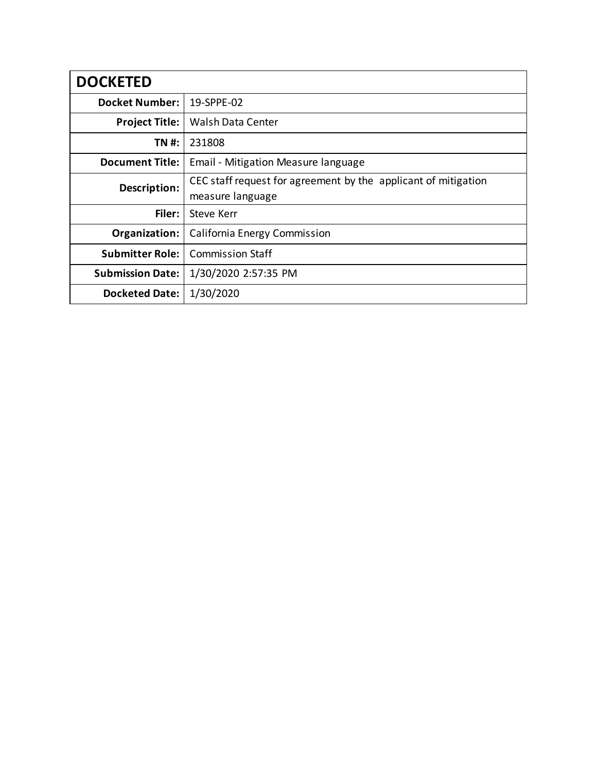| <b>DOCKETED</b>         |                                                                                                                           |  |  |  |  |
|-------------------------|---------------------------------------------------------------------------------------------------------------------------|--|--|--|--|
| <b>Docket Number:</b>   | 19-SPPE-02                                                                                                                |  |  |  |  |
| <b>Project Title:</b>   | Walsh Data Center                                                                                                         |  |  |  |  |
| TN #:                   | 231808                                                                                                                    |  |  |  |  |
| <b>Document Title:</b>  | Email - Mitigation Measure language<br>CEC staff request for agreement by the applicant of mitigation<br>measure language |  |  |  |  |
| Description:            |                                                                                                                           |  |  |  |  |
| Filer:                  | Steve Kerr                                                                                                                |  |  |  |  |
| Organization:           | California Energy Commission                                                                                              |  |  |  |  |
| <b>Submitter Role:</b>  | <b>Commission Staff</b>                                                                                                   |  |  |  |  |
| <b>Submission Date:</b> | 1/30/2020 2:57:35 PM                                                                                                      |  |  |  |  |
| <b>Docketed Date:</b>   | 1/30/2020                                                                                                                 |  |  |  |  |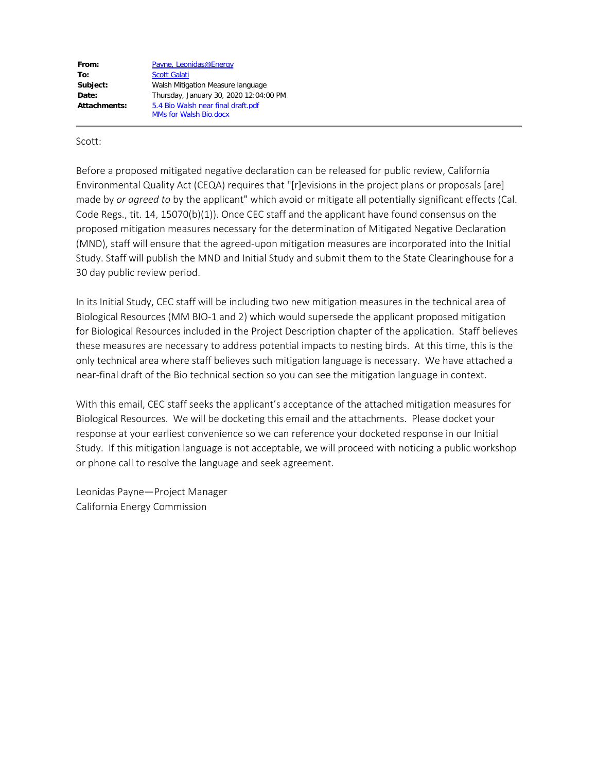From: [Payne, Leonidas@Energy](mailto:leonidas.payne@energy.ca.gov) To: [Scott Galati](mailto:sgalati@dayzenllc.com) **Subject:** Walsh Mitigation Measure language **Date:** Thursday, January 30, 2020 12:04:00 PM **Attachments:** 5.4 Bio Walsh near final draft.pdf MMs for Walsh Bio.docx

#### Scott:

Before a proposed mitigated negative declaration can be released for public review, California Environmental Quality Act (CEQA) requires that "[r]evisions in the project plans or proposals [are] made by *or agreed to* by the applicant" which avoid or mitigate all potentially significant effects (Cal. Code Regs., tit. 14, 15070(b)(1)). Once CEC staff and the applicant have found consensus on the proposed mitigation measures necessary for the determination of Mitigated Negative Declaration (MND), staff will ensure that the agreed-upon mitigation measures are incorporated into the Initial Study. Staff will publish the MND and Initial Study and submit them to the State Clearinghouse for a 30 day public review period.

In its Initial Study, CEC staff will be including two new mitigation measures in the technical area of Biological Resources (MM BIO-1 and 2) which would supersede the applicant proposed mitigation for Biological Resources included in the Project Description chapter of the application. Staff believes these measures are necessary to address potential impacts to nesting birds. At this time, this is the only technical area where staff believes such mitigation language is necessary. We have attached a near-final draft of the Bio technical section so you can see the mitigation language in context.

With this email, CEC staff seeks the applicant's acceptance of the attached mitigation measures for Biological Resources. We will be docketing this email and the attachments. Please docket your response at your earliest convenience so we can reference your docketed response in our Initial Study. If this mitigation language is not acceptable, we will proceed with noticing a public workshop or phone call to resolve the language and seek agreement.

Leonidas Payne—Project Manager California Energy Commission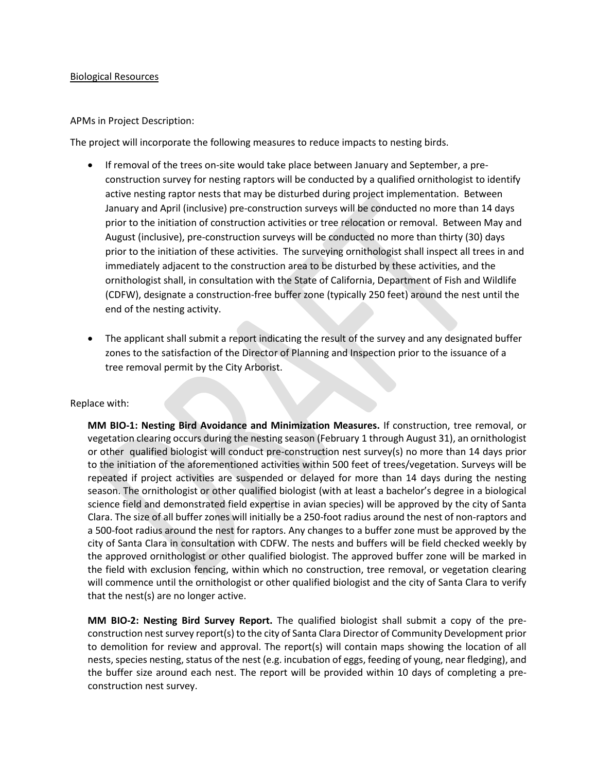#### Biological Resources

#### APMs in Project Description:

The project will incorporate the following measures to reduce impacts to nesting birds.

- If removal of the trees on-site would take place between January and September, a preconstruction survey for nesting raptors will be conducted by a qualified ornithologist to identify active nesting raptor nests that may be disturbed during project implementation. Between January and April (inclusive) pre-construction surveys will be conducted no more than 14 days prior to the initiation of construction activities or tree relocation or removal. Between May and August (inclusive), pre-construction surveys will be conducted no more than thirty (30) days prior to the initiation of these activities. The surveying ornithologist shall inspect all trees in and immediately adjacent to the construction area to be disturbed by these activities, and the ornithologist shall, in consultation with the State of California, Department of Fish and Wildlife (CDFW), designate a construction-free buffer zone (typically 250 feet) around the nest until the end of the nesting activity.
- The applicant shall submit a report indicating the result of the survey and any designated buffer zones to the satisfaction of the Director of Planning and Inspection prior to the issuance of a tree removal permit by the City Arborist.

#### Replace with:

**MM BIO-1: Nesting Bird Avoidance and Minimization Measures.** If construction, tree removal, or vegetation clearing occurs during the nesting season (February 1 through August 31), an ornithologist or other qualified biologist will conduct pre-construction nest survey(s) no more than 14 days prior to the initiation of the aforementioned activities within 500 feet of trees/vegetation. Surveys will be repeated if project activities are suspended or delayed for more than 14 days during the nesting season. The ornithologist or other qualified biologist (with at least a bachelor's degree in a biological science field and demonstrated field expertise in avian species) will be approved by the city of Santa Clara. The size of all buffer zones will initially be a 250-foot radius around the nest of non-raptors and a 500-foot radius around the nest for raptors. Any changes to a buffer zone must be approved by the city of Santa Clara in consultation with CDFW. The nests and buffers will be field checked weekly by the approved ornithologist or other qualified biologist. The approved buffer zone will be marked in the field with exclusion fencing, within which no construction, tree removal, or vegetation clearing will commence until the ornithologist or other qualified biologist and the city of Santa Clara to verify that the nest(s) are no longer active.

**MM BIO-2: Nesting Bird Survey Report.** The qualified biologist shall submit a copy of the preconstruction nest survey report(s) to the city of Santa Clara Director of Community Development prior to demolition for review and approval. The report(s) will contain maps showing the location of all nests, species nesting, status of the nest (e.g. incubation of eggs, feeding of young, near fledging), and the buffer size around each nest. The report will be provided within 10 days of completing a preconstruction nest survey.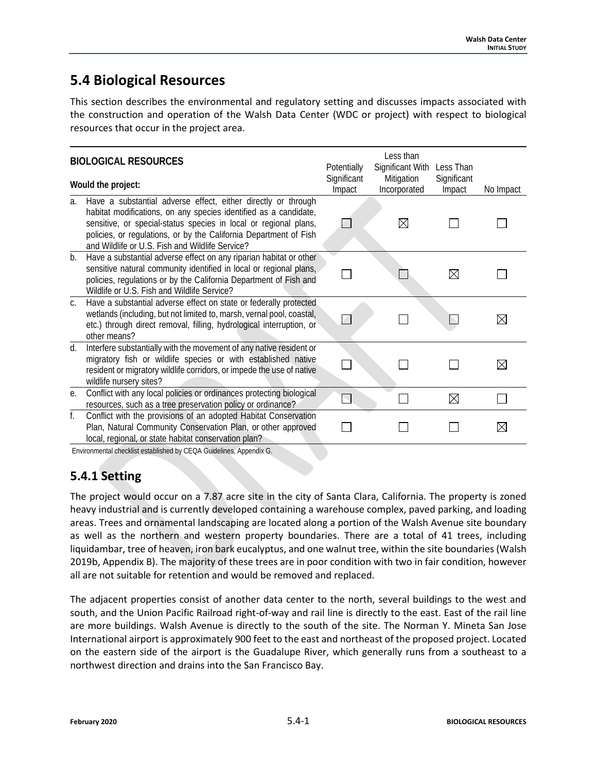# **5.4 Biological Resources**

This section describes the environmental and regulatory setting and discusses impacts associated with the construction and operation of the Walsh Data Center (WDC or project) with respect to biological resources that occur in the project area.

|    | <b>BIOLOGICAL RESOURCES</b><br>Would the project:                                                                                                                                                                                                                                                                             | Potentially<br>Significant | Less than<br>Significant With<br>Mitigation | Less Than<br>Significant |             |  |  |
|----|-------------------------------------------------------------------------------------------------------------------------------------------------------------------------------------------------------------------------------------------------------------------------------------------------------------------------------|----------------------------|---------------------------------------------|--------------------------|-------------|--|--|
| a. | Have a substantial adverse effect, either directly or through<br>habitat modifications, on any species identified as a candidate,<br>sensitive, or special-status species in local or regional plans,<br>policies, or regulations, or by the California Department of Fish<br>and Wildlife or U.S. Fish and Wildlife Service? | Impact                     | Incorporated<br>$\boxtimes$                 | Impact                   | No Impact   |  |  |
| b. | Have a substantial adverse effect on any riparian habitat or other<br>sensitive natural community identified in local or regional plans,<br>policies, regulations or by the California Department of Fish and<br>Wildlife or U.S. Fish and Wildlife Service?                                                                  |                            |                                             | $\boxtimes$              |             |  |  |
| C. | Have a substantial adverse effect on state or federally protected<br>wetlands (including, but not limited to, marsh, vernal pool, coastal,<br>etc.) through direct removal, filling, hydrological interruption, or<br>other means?                                                                                            |                            |                                             |                          | $\boxtimes$ |  |  |
| d. | Interfere substantially with the movement of any native resident or<br>migratory fish or wildlife species or with established native<br>resident or migratory wildlife corridors, or impede the use of native<br>wildlife nursery sites?                                                                                      |                            |                                             |                          | $\boxtimes$ |  |  |
| е. | Conflict with any local policies or ordinances protecting biological<br>resources, such as a tree preservation policy or ordinance?                                                                                                                                                                                           | $\overline{\phantom{a}}$   |                                             | $\boxtimes$              |             |  |  |
| f. | Conflict with the provisions of an adopted Habitat Conservation<br>Plan, Natural Community Conservation Plan, or other approved<br>local, regional, or state habitat conservation plan?                                                                                                                                       |                            |                                             |                          | $\boxtimes$ |  |  |
|    | Environmental checklist established by CEOA Cuidelines, Annendix C.                                                                                                                                                                                                                                                           |                            |                                             |                          |             |  |  |

Environmental checklist established by CEQA Guidelines, Appendix G.

## **5.4.1 Setting**

The project would occur on a 7.87 acre site in the city of Santa Clara, California. The property is zoned heavy industrial and is currently developed containing a warehouse complex, paved parking, and loading areas. Trees and ornamental landscaping are located along a portion of the Walsh Avenue site boundary as well as the northern and western property boundaries. There are a total of 41 trees, including liquidambar, tree of heaven, iron bark eucalyptus, and one walnut tree, within the site boundaries (Walsh 2019b, Appendix B). The majority of these trees are in poor condition with two in fair condition, however all are not suitable for retention and would be removed and replaced.

The adjacent properties consist of another data center to the north, several buildings to the west and south, and the Union Pacific Railroad right-of-way and rail line is directly to the east. East of the rail line are more buildings. Walsh Avenue is directly to the south of the site. The Norman Y. Mineta San Jose International airport is approximately 900 feet to the east and northeast of the proposed project. Located on the eastern side of the airport is the Guadalupe River, which generally runs from a southeast to a northwest direction and drains into the San Francisco Bay.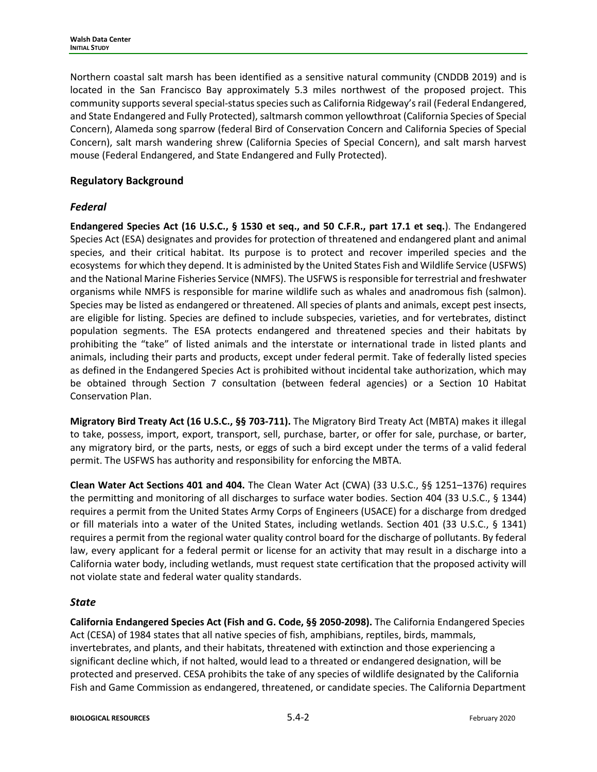Northern coastal salt marsh has been identified as a sensitive natural community (CNDDB 2019) and is located in the San Francisco Bay approximately 5.3 miles northwest of the proposed project. This community supports several special-status species such as California Ridgeway's rail (Federal Endangered, and State Endangered and Fully Protected), saltmarsh common yellowthroat (California Species of Special Concern), Alameda song sparrow (federal Bird of Conservation Concern and California Species of Special Concern), salt marsh wandering shrew (California Species of Special Concern), and salt marsh harvest mouse (Federal Endangered, and State Endangered and Fully Protected).

## **Regulatory Background**

### *Federal*

**Endangered Species Act (16 U.S.C., § 1530 et seq., and 50 C.F.R., part 17.1 et seq.**). The Endangered Species Act (ESA) designates and provides for protection of threatened and endangered plant and animal species, and their critical habitat. Its purpose is to protect and recover imperiled species and the ecosystems for which they depend. It is administed by the United States Fish and Wildlife Service (USFWS) and the National Marine Fisheries Service (NMFS). The USFWS is responsible for terrestrial and freshwater organisms while NMFS is responsible for marine wildlife such as whales and anadromous fish (salmon). Species may be listed as endangered or threatened. All species of plants and animals, except pest insects, are eligible for listing. Species are defined to include subspecies, varieties, and for vertebrates, distinct population segments. The ESA protects endangered and threatened species and their habitats by prohibiting the "take" of listed animals and the interstate or international trade in listed plants and animals, including their parts and products, except under federal permit. Take of federally listed species as defined in the Endangered Species Act is prohibited without incidental take authorization, which may be obtained through Section 7 consultation (between federal agencies) or a Section 10 Habitat Conservation Plan.

**Migratory Bird Treaty Act (16 U.S.C., §§ 703-711).** The Migratory Bird Treaty Act (MBTA) makes it illegal to take, possess, import, export, transport, sell, purchase, barter, or offer for sale, purchase, or barter, any migratory bird, or the parts, nests, or eggs of such a bird except under the terms of a valid federal permit. The USFWS has authority and responsibility for enforcing the MBTA.

**Clean Water Act Sections 401 and 404.** The Clean Water Act (CWA) (33 U.S.C., §§ 1251–1376) requires the permitting and monitoring of all discharges to surface water bodies. Section 404 (33 U.S.C., § 1344) requires a permit from the United States Army Corps of Engineers (USACE) for a discharge from dredged or fill materials into a water of the United States, including wetlands. Section 401 (33 U.S.C., § 1341) requires a permit from the regional water quality control board for the discharge of pollutants. By federal law, every applicant for a federal permit or license for an activity that may result in a discharge into a California water body, including wetlands, must request state certification that the proposed activity will not violate state and federal water quality standards.

### *State*

**California Endangered Species Act (Fish and G. Code, §§ 2050-2098).** The California Endangered Species Act (CESA) of 1984 states that all native species of fish, amphibians, reptiles, birds, mammals, invertebrates, and plants, and their habitats, threatened with extinction and those experiencing a significant decline which, if not halted, would lead to a threated or endangered designation, will be protected and preserved. CESA prohibits the take of any species of wildlife designated by the California Fish and Game Commission as endangered, threatened, or candidate species. The California Department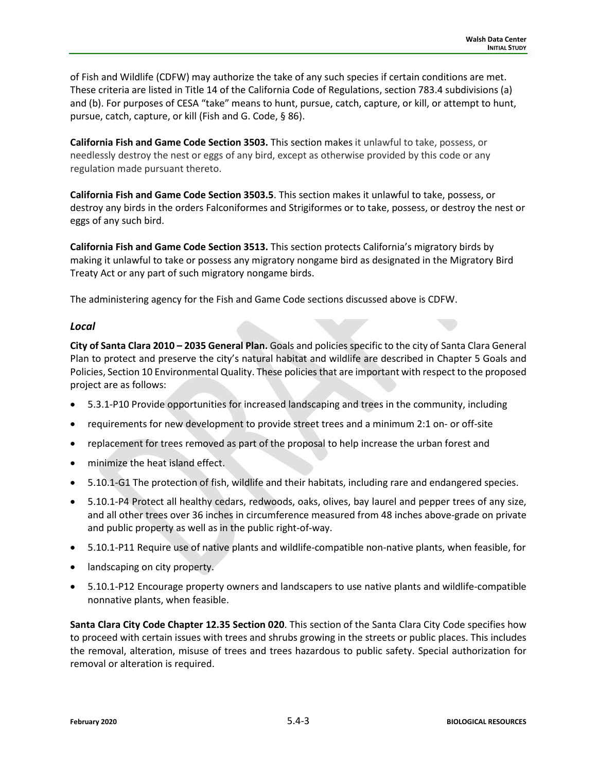of Fish and Wildlife (CDFW) may authorize the take of any such species if certain conditions are met. These criteria are listed in Title 14 of the California Code of Regulations, section 783.4 subdivisions (a) and (b). For purposes of CESA "take" means to hunt, pursue, catch, capture, or kill, or attempt to hunt, pursue, catch, capture, or kill (Fish and G. Code, § 86).

**California Fish and Game Code Section [3503.](javascript:submitCodesValues()** This section makes it unlawful to take, possess, or needlessly destroy the nest or eggs of any bird, except as otherwise provided by this code or any regulation made pursuant thereto.

**California Fish and Game Code Section 3503.5**. This section makes it unlawful to take, possess, or destroy any birds in the orders Falconiformes and Strigiformes or to take, possess, or destroy the nest or eggs of any such bird.

**California Fish and Game Code Section 3513.** This section protects California's migratory birds by making it unlawful to take or possess any migratory nongame bird as designated in the Migratory Bird Treaty Act or any part of such migratory nongame birds.

The administering agency for the Fish and Game Code sections discussed above is CDFW.

#### *Local*

**City of Santa Clara 2010 – 2035 General Plan.** Goals and policies specific to the city of Santa Clara General Plan to protect and preserve the city's natural habitat and wildlife are described in Chapter 5 Goals and Policies, Section 10 Environmental Quality. These policies that are important with respect to the proposed project are as follows:

- 5.3.1-P10 Provide opportunities for increased landscaping and trees in the community, including
- requirements for new development to provide street trees and a minimum 2:1 on- or off-site
- replacement for trees removed as part of the proposal to help increase the urban forest and
- minimize the heat island effect.
- 5.10.1-G1 The protection of fish, wildlife and their habitats, including rare and endangered species.
- 5.10.1-P4 Protect all healthy cedars, redwoods, oaks, olives, bay laurel and pepper trees of any size, and all other trees over 36 inches in circumference measured from 48 inches above-grade on private and public property as well as in the public right-of-way.
- 5.10.1-P11 Require use of native plants and wildlife-compatible non-native plants, when feasible, for
- landscaping on city property.
- 5.10.1-P12 Encourage property owners and landscapers to use native plants and wildlife-compatible nonnative plants, when feasible.

**Santa Clara City Code Chapter 12.35 Section 020**. This section of the Santa Clara City Code specifies how to proceed with certain issues with trees and shrubs growing in the streets or public places. This includes the removal, alteration, misuse of trees and trees hazardous to public safety. Special authorization for removal or alteration is required.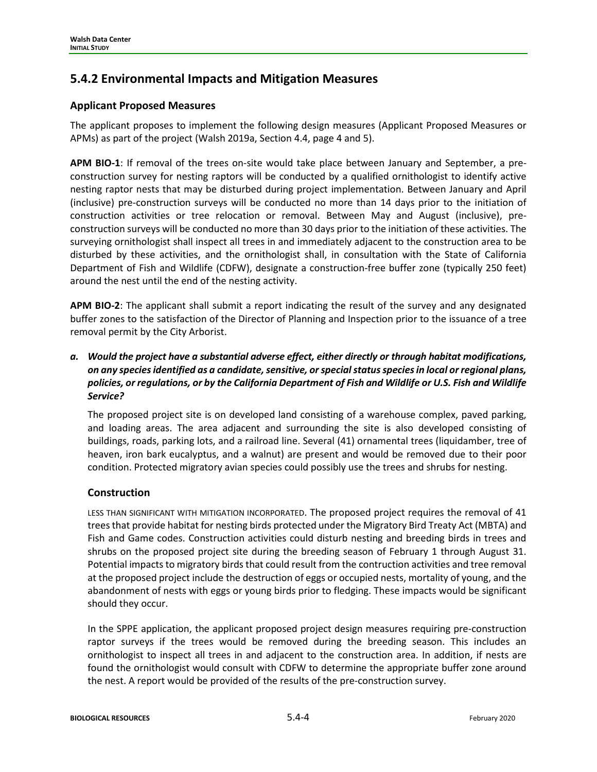## **5.4.2 Environmental Impacts and Mitigation Measures**

#### **Applicant Proposed Measures**

The applicant proposes to implement the following design measures (Applicant Proposed Measures or APMs) as part of the project (Walsh 2019a, Section 4.4, page 4 and 5).

**APM BIO-1**: If removal of the trees on-site would take place between January and September, a preconstruction survey for nesting raptors will be conducted by a qualified ornithologist to identify active nesting raptor nests that may be disturbed during project implementation. Between January and April (inclusive) pre-construction surveys will be conducted no more than 14 days prior to the initiation of construction activities or tree relocation or removal. Between May and August (inclusive), preconstruction surveys will be conducted no more than 30 days prior to the initiation of these activities. The surveying ornithologist shall inspect all trees in and immediately adjacent to the construction area to be disturbed by these activities, and the ornithologist shall, in consultation with the State of California Department of Fish and Wildlife (CDFW), designate a construction-free buffer zone (typically 250 feet) around the nest until the end of the nesting activity.

**APM BIO-2**: The applicant shall submit a report indicating the result of the survey and any designated buffer zones to the satisfaction of the Director of Planning and Inspection prior to the issuance of a tree removal permit by the City Arborist.

### *a. Would the project have a substantial adverse effect, either directly or through habitat modifications, on any species identified as a candidate, sensitive, or special status species in local or regional plans, policies, or regulations, or by the California Department of Fish and Wildlife or U.S. Fish and Wildlife Service?*

The proposed project site is on developed land consisting of a warehouse complex, paved parking, and loading areas. The area adjacent and surrounding the site is also developed consisting of buildings, roads, parking lots, and a railroad line. Several (41) ornamental trees (liquidamber, tree of heaven, iron bark eucalyptus, and a walnut) are present and would be removed due to their poor condition. Protected migratory avian species could possibly use the trees and shrubs for nesting.

### **Construction**

LESS THAN SIGNIFICANT WITH MITIGATION INCORPORATED. The proposed project requires the removal of 41 trees that provide habitat for nesting birds protected under the Migratory Bird Treaty Act (MBTA) and Fish and Game codes. Construction activities could disturb nesting and breeding birds in trees and shrubs on the proposed project site during the breeding season of February 1 through August 31. Potential impacts to migratory birds that could result from the contruction activities and tree removal at the proposed project include the destruction of eggs or occupied nests, mortality of young, and the abandonment of nests with eggs or young birds prior to fledging. These impacts would be significant should they occur.

In the SPPE application, the applicant proposed project design measures requiring pre-construction raptor surveys if the trees would be removed during the breeding season. This includes an ornithologist to inspect all trees in and adjacent to the construction area. In addition, if nests are found the ornithologist would consult with CDFW to determine the appropriate buffer zone around the nest. A report would be provided of the results of the pre-construction survey.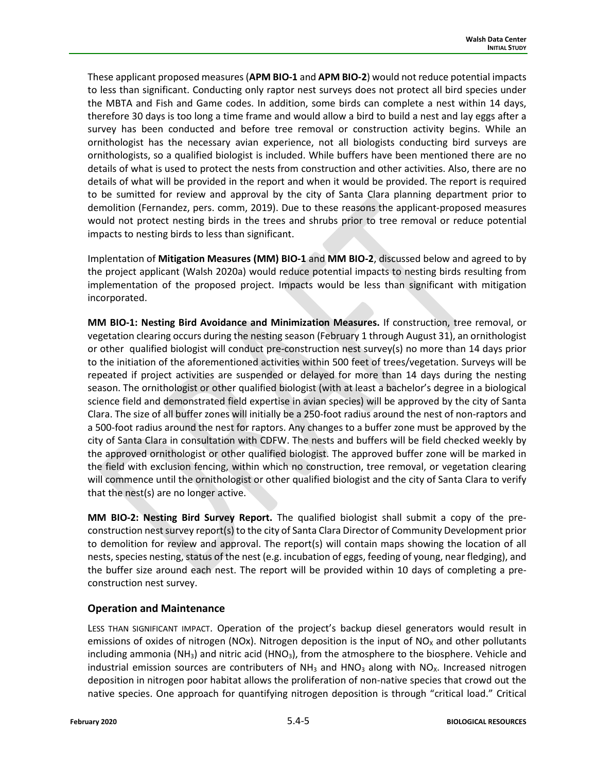These applicant proposed measures (**APM BIO-1** and **APM BIO-2**) would not reduce potential impacts to less than significant. Conducting only raptor nest surveys does not protect all bird species under the MBTA and Fish and Game codes. In addition, some birds can complete a nest within 14 days, therefore 30 days is too long a time frame and would allow a bird to build a nest and lay eggs after a survey has been conducted and before tree removal or construction activity begins. While an ornithologist has the necessary avian experience, not all biologists conducting bird surveys are ornithologists, so a qualified biologist is included. While buffers have been mentioned there are no details of what is used to protect the nests from construction and other activities. Also, there are no details of what will be provided in the report and when it would be provided. The report is required to be sumitted for review and approval by the city of Santa Clara planning department prior to demolition (Fernandez, pers. comm, 2019). Due to these reasons the applicant-proposed measures would not protect nesting birds in the trees and shrubs prior to tree removal or reduce potential impacts to nesting birds to less than significant.

Implentation of **Mitigation Measures (MM) BIO-1** and **MM BIO-2**, discussed below and agreed to by the project applicant (Walsh 2020a) would reduce potential impacts to nesting birds resulting from implementation of the proposed project. Impacts would be less than significant with mitigation incorporated.

**MM BIO-1: Nesting Bird Avoidance and Minimization Measures.** If construction, tree removal, or vegetation clearing occurs during the nesting season (February 1 through August 31), an ornithologist or other qualified biologist will conduct pre-construction nest survey(s) no more than 14 days prior to the initiation of the aforementioned activities within 500 feet of trees/vegetation. Surveys will be repeated if project activities are suspended or delayed for more than 14 days during the nesting season. The ornithologist or other qualified biologist (with at least a bachelor's degree in a biological science field and demonstrated field expertise in avian species) will be approved by the city of Santa Clara. The size of all buffer zones will initially be a 250-foot radius around the nest of non-raptors and a 500-foot radius around the nest for raptors. Any changes to a buffer zone must be approved by the city of Santa Clara in consultation with CDFW. The nests and buffers will be field checked weekly by the approved ornithologist or other qualified biologist. The approved buffer zone will be marked in the field with exclusion fencing, within which no construction, tree removal, or vegetation clearing will commence until the ornithologist or other qualified biologist and the city of Santa Clara to verify that the nest(s) are no longer active.

**MM BIO-2: Nesting Bird Survey Report.** The qualified biologist shall submit a copy of the preconstruction nest survey report(s) to the city of Santa Clara Director of Community Development prior to demolition for review and approval. The report(s) will contain maps showing the location of all nests, species nesting, status of the nest (e.g. incubation of eggs, feeding of young, near fledging), and the buffer size around each nest. The report will be provided within 10 days of completing a preconstruction nest survey.

### **Operation and Maintenance**

LESS THAN SIGNIFICANT IMPACT. Operation of the project's backup diesel generators would result in emissions of oxides of nitrogen (NOx). Nitrogen deposition is the input of NO<sub>x</sub> and other pollutants including ammonia  $(NH_3)$  and nitric acid  $(HNO_3)$ , from the atmosphere to the biosphere. Vehicle and industrial emission sources are contributers of  $NH<sub>3</sub>$  and HNO<sub>3</sub> along with NO<sub>x</sub>. Increased nitrogen deposition in nitrogen poor habitat allows the proliferation of non-native species that crowd out the native species. One approach for quantifying nitrogen deposition is through "critical load." Critical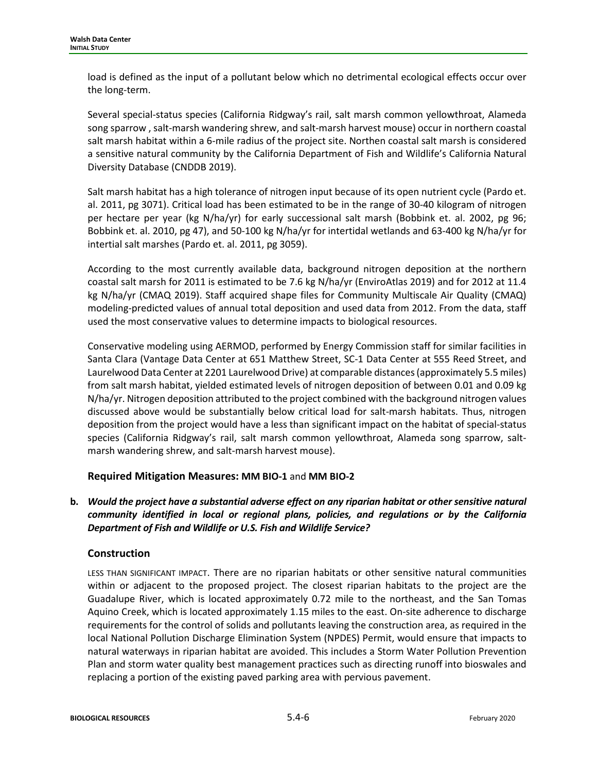load is defined as the input of a pollutant below which no detrimental ecological effects occur over the long-term.

Several special-status species (California Ridgway's rail, salt marsh common yellowthroat, Alameda song sparrow , salt-marsh wandering shrew, and salt-marsh harvest mouse) occur in northern coastal salt marsh habitat within a 6-mile radius of the project site. Northen coastal salt marsh is considered a sensitive natural community by the California Department of Fish and Wildlife's California Natural Diversity Database (CNDDB 2019).

Salt marsh habitat has a high tolerance of nitrogen input because of its open nutrient cycle (Pardo et. al. 2011, pg 3071). Critical load has been estimated to be in the range of 30-40 kilogram of nitrogen per hectare per year (kg N/ha/yr) for early successional salt marsh (Bobbink et. al. 2002, pg 96; Bobbink et. al. 2010, pg 47), and 50-100 kg N/ha/yr for intertidal wetlands and 63-400 kg N/ha/yr for intertial salt marshes (Pardo et. al. 2011, pg 3059).

According to the most currently available data, background nitrogen deposition at the northern coastal salt marsh for 2011 is estimated to be 7.6 kg N/ha/yr (EnviroAtlas 2019) and for 2012 at 11.4 kg N/ha/yr (CMAQ 2019). Staff acquired shape files for Community Multiscale Air Quality (CMAQ) modeling-predicted values of annual total deposition and used data from 2012. From the data, staff used the most conservative values to determine impacts to biological resources.

Conservative modeling using AERMOD, performed by Energy Commission staff for similar facilities in Santa Clara (Vantage Data Center at 651 Matthew Street, SC-1 Data Center at 555 Reed Street, and Laurelwood Data Center at 2201 Laurelwood Drive) at comparable distances (approximately 5.5 miles) from salt marsh habitat, yielded estimated levels of nitrogen deposition of between 0.01 and 0.09 kg N/ha/yr. Nitrogen deposition attributed to the project combined with the background nitrogen values discussed above would be substantially below critical load for salt-marsh habitats. Thus, nitrogen deposition from the project would have a less than significant impact on the habitat of special-status species (California Ridgway's rail, salt marsh common yellowthroat, Alameda song sparrow, saltmarsh wandering shrew, and salt-marsh harvest mouse).

### **Required Mitigation Measures: MM BIO-1** and **MM BIO-2**

**b.** *Would the project have a substantial adverse effect on any riparian habitat or other sensitive natural community identified in local or regional plans, policies, and regulations or by the California Department of Fish and Wildlife or U.S. Fish and Wildlife Service?*

### **Construction**

LESS THAN SIGNIFICANT IMPACT. There are no riparian habitats or other sensitive natural communities within or adjacent to the proposed project. The closest riparian habitats to the project are the Guadalupe River, which is located approximately 0.72 mile to the northeast, and the San Tomas Aquino Creek, which is located approximately 1.15 miles to the east. On-site adherence to discharge requirements for the control of solids and pollutants leaving the construction area, as required in the local National Pollution Discharge Elimination System (NPDES) Permit, would ensure that impacts to natural waterways in riparian habitat are avoided. This includes a Storm Water Pollution Prevention Plan and storm water quality best management practices such as directing runoff into bioswales and replacing a portion of the existing paved parking area with pervious pavement.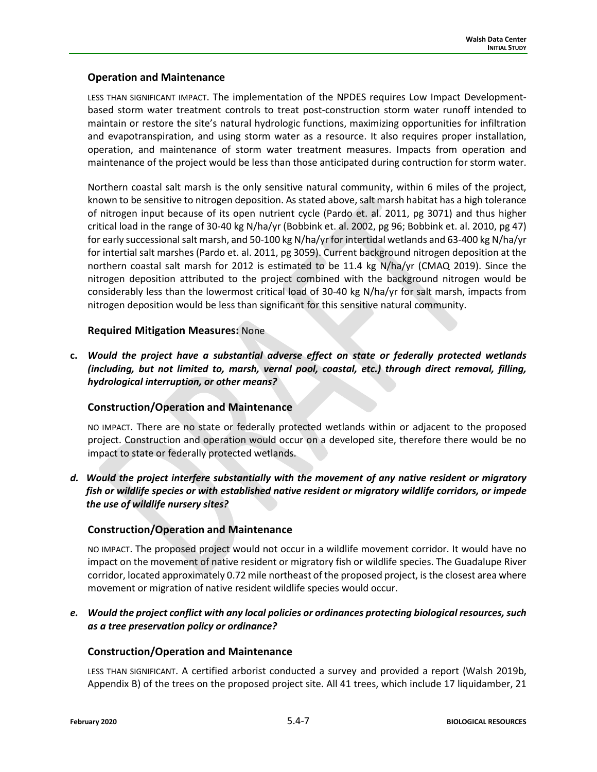#### **Operation and Maintenance**

LESS THAN SIGNIFICANT IMPACT. The implementation of the NPDES requires Low Impact Developmentbased storm water treatment controls to treat post-construction storm water runoff intended to maintain or restore the site's natural hydrologic functions, maximizing opportunities for infiltration and evapotranspiration, and using storm water as a resource. It also requires proper installation, operation, and maintenance of storm water treatment measures. Impacts from operation and maintenance of the project would be less than those anticipated during contruction for storm water.

Northern coastal salt marsh is the only sensitive natural community, within 6 miles of the project, known to be sensitive to nitrogen deposition. As stated above, salt marsh habitat has a high tolerance of nitrogen input because of its open nutrient cycle (Pardo et. al. 2011, pg 3071) and thus higher critical load in the range of 30-40 kg N/ha/yr (Bobbink et. al. 2002, pg 96; Bobbink et. al. 2010, pg 47) for early successional salt marsh, and 50-100 kg N/ha/yr for intertidal wetlands and 63-400 kg N/ha/yr for intertial salt marshes (Pardo et. al. 2011, pg 3059). Current background nitrogen deposition at the northern coastal salt marsh for 2012 is estimated to be 11.4 kg N/ha/yr (CMAQ 2019). Since the nitrogen deposition attributed to the project combined with the background nitrogen would be considerably less than the lowermost critical load of 30-40 kg N/ha/yr for salt marsh, impacts from nitrogen deposition would be less than significant for this sensitive natural community.

#### **Required Mitigation Measures:** None

**c.** *Would the project have a substantial adverse effect on state or federally protected wetlands (including, but not limited to, marsh, vernal pool, coastal, etc.) through direct removal, filling, hydrological interruption, or other means?*

### **Construction/Operation and Maintenance**

NO IMPACT. There are no state or federally protected wetlands within or adjacent to the proposed project. Construction and operation would occur on a developed site, therefore there would be no impact to state or federally protected wetlands.

*d. Would the project interfere substantially with the movement of any native resident or migratory fish or wildlife species or with established native resident or migratory wildlife corridors, or impede the use of wildlife nursery sites?*

### **Construction/Operation and Maintenance**

NO IMPACT. The proposed project would not occur in a wildlife movement corridor. It would have no impact on the movement of native resident or migratory fish or wildlife species. The Guadalupe River corridor, located approximately 0.72 mile northeast of the proposed project, is the closest area where movement or migration of native resident wildlife species would occur.

*e. Would the project conflict with any local policies or ordinances protecting biological resources, such as a tree preservation policy or ordinance?*

### **Construction/Operation and Maintenance**

LESS THAN SIGNIFICANT. A certified arborist conducted a survey and provided a report (Walsh 2019b, Appendix B) of the trees on the proposed project site. All 41 trees, which include 17 liquidamber, 21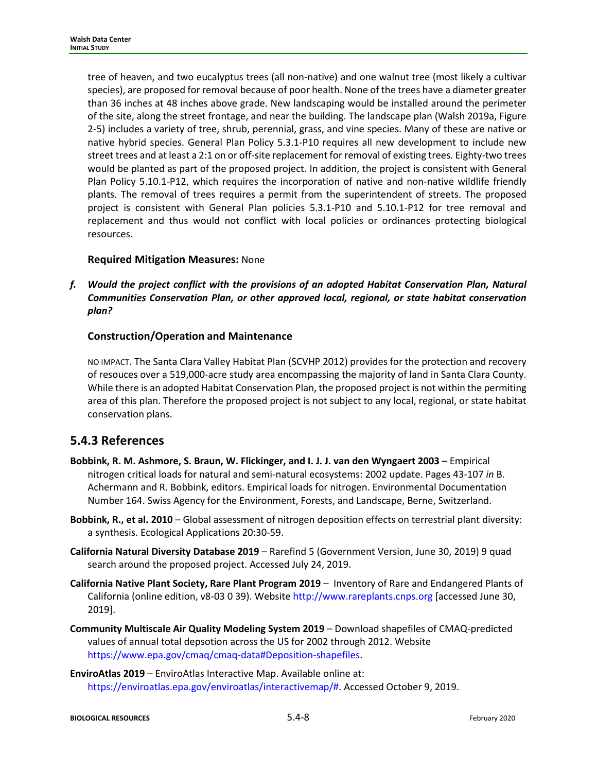tree of heaven, and two eucalyptus trees (all non-native) and one walnut tree (most likely a cultivar species), are proposed for removal because of poor health. None of the trees have a diameter greater than 36 inches at 48 inches above grade. New landscaping would be installed around the perimeter of the site, along the street frontage, and near the building. The landscape plan (Walsh 2019a, Figure 2-5) includes a variety of tree, shrub, perennial, grass, and vine species. Many of these are native or native hybrid species. General Plan Policy 5.3.1-P10 requires all new development to include new street trees and at least a 2:1 on or off-site replacement for removal of existing trees. Eighty-two trees would be planted as part of the proposed project. In addition, the project is consistent with General Plan Policy 5.10.1-P12, which requires the incorporation of native and non-native wildlife friendly plants. The removal of trees requires a permit from the superintendent of streets. The proposed project is consistent with General Plan policies 5.3.1-P10 and 5.10.1-P12 for tree removal and replacement and thus would not conflict with local policies or ordinances protecting biological resources.

#### **Required Mitigation Measures:** None

*f. Would the project conflict with the provisions of an adopted Habitat Conservation Plan, Natural Communities Conservation Plan, or other approved local, regional, or state habitat conservation plan?*

### **Construction/Operation and Maintenance**

NO IMPACT. The Santa Clara Valley Habitat Plan (SCVHP 2012) provides for the protection and recovery of resouces over a 519,000-acre study area encompassing the majority of land in Santa Clara County. While there is an adopted Habitat Conservation Plan, the proposed project is not within the permiting area of this plan. Therefore the proposed project is not subject to any local, regional, or state habitat conservation plans.

## **5.4.3 References**

- **Bobbink, R. M. Ashmore, S. Braun, W. Flickinger, and I. J. J. van den Wyngaert 2003**  Empirical nitrogen critical loads for natural and semi-natural ecosystems: 2002 update. Pages 43-107 *in* B. Achermann and R. Bobbink, editors. Empirical loads for nitrogen. Environmental Documentation Number 164. Swiss Agency for the Environment, Forests, and Landscape, Berne, Switzerland.
- **Bobbink, R., et al. 2010**  Global assessment of nitrogen deposition effects on terrestrial plant diversity: a synthesis. Ecological Applications 20:30-59.
- **California Natural Diversity Database 2019** Rarefind 5 (Government Version, June 30, 2019) 9 quad search around the proposed project. Accessed July 24, 2019.
- **California Native Plant Society, Rare Plant Program 2019** Inventory of Rare and Endangered Plants of California (online edition, v8-03 0 39). Websit[e http://www.rareplants.cnps.org](http://www.rareplants.cnps.org/) [accessed June 30, 2019].
- **Community Multiscale Air Quality Modeling System 2019** Download shapefiles of CMAQ-predicted values of annual total depsotion across the US for 2002 through 2012. Website [https://www.epa.gov/cmaq/cmaq-data#Deposition-shapefiles.](https://www.epa.gov/cmaq/cmaq-data#Deposition-shapefiles)
- **EnviroAtlas 2019**  EnviroAtlas Interactive Map. Available online at: [https://enviroatlas.epa.gov/enviroatlas/interactivemap/#.](https://enviroatlas.epa.gov/enviroatlas/interactivemap/) Accessed October 9, 2019.